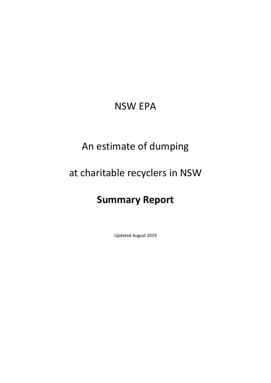## NSW EPA

## An estimate of dumping

## at charitable recyclers in NSW

# **Summary Report**

Updated August 2019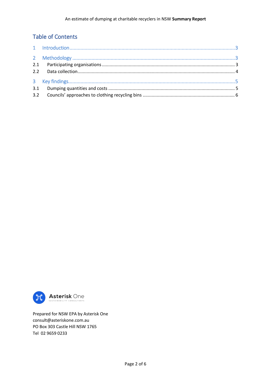## Table of Contents



Prepared for NSW EPA by Asterisk One [consult@asteriskone.com.au](mailto:consult@asteriskone.com.au) PO Box 303 Castle Hill NSW 1765 Tel 02 9659 0233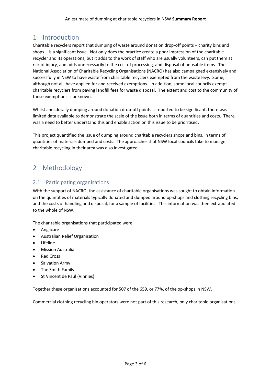### <span id="page-2-0"></span>1 Introduction

Charitable recyclers report that dumping of waste around donation drop-off points – charity bins and shops – is a significant issue. Not only does the practice create a poor impression of the charitable recycler and its operations, but it adds to the work of staff who are usually volunteers, can put them at risk of injury, and adds unnecessarily to the cost of processing, and disposal of unusable items. The National Association of Charitable Recycling Organisations (NACRO) has also campaigned extensively and successfully in NSW to have waste from charitable recyclers exempted from the waste levy. Some, although not all, have applied for and received exemptions. In addition, some local councils exempt charitable recyclers from paying landfill fees for waste disposal. The extent and cost to the community of these exemptions is unknown.

Whilst anecdotally dumping around donation drop-off points is reported to be significant, there was limited data available to demonstrate the scale of the issue both in terms of quantities and costs. There was a need to better understand this and enable action on this issue to be prioritised.

This project quantified the issue of dumping around charitable recyclers shops and bins, in terms of quantities of materials dumped and costs. The approaches that NSW local councils take to manage charitable recycling in their area was also investigated.

## <span id="page-2-1"></span>2 Methodology

#### <span id="page-2-2"></span>2.1 Participating organisations

With the support of NACRO, the assistance of charitable organisations was sought to obtain information on the quantities of materials typically donated and dumped around op-shops and clothing recycling bins, and the costs of handling and disposal, for a sample of facilities. This information was then extrapolated to the whole of NSW.

The charitable organisations that participated were:

- Anglicare
- Australian Relief Organisation
- Lifeline
- Mission Australia
- Red Cross
- Salvation Army
- The Smith Family
- St Vincent de Paul (Vinnies)

Together these organisations accounted for 507 of the 659, or 77%, of the op-shops in NSW.

Commercial clothing recycling bin operators were not part of this research, only charitable organisations.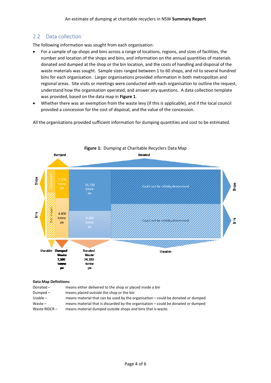### <span id="page-3-0"></span>2.2 Data collection

The following information was sought from each organisation:

- For a sample of op-shops and bins across a range of locations, regions, and sizes of facilities, the number and location of the shops and bins, and information on the annual quantities of materials donated and dumped at the shop or the bin location, and the costs of handling and disposal of the waste materials was sought. Sample sizes ranged between 1 to 60 shops, and nil to several hundred bins for each organisation. Larger organisations provided information in both metropolitan and regional areas. Site visits or meetings were conducted with each organisation to outline the request, understand how the organisation operated, and answer any questions. A data collection template was provided, based on the data map in **[Figure 1](#page-3-1)**.
- Whether there was an exemption from the waste levy (if this is applicable), and if the local council provided a concession for the cost of disposal, and the value of the concession.

All the organisations provided sufficient information for dumping quantities and cost to be estimated.

<span id="page-3-1"></span>

#### **Data Map Definitions:**

| Donated -       | means either delivered to the shop or placed inside a bin                         |
|-----------------|-----------------------------------------------------------------------------------|
| Dumped $-$      | means placed outside the shop or the bin                                          |
| Usable $-$      | means material that can be used by the organisation – could be donated or dumped  |
| Waste $-$       | means material that is discarded by the organisation – could be donated or dumped |
| Waste RIDCR $-$ | means material dumped outside shops and bins that is waste.                       |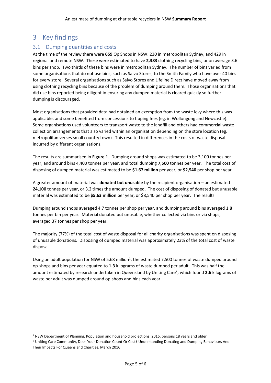### <span id="page-4-0"></span>3 Key findings

**.** 

#### <span id="page-4-1"></span>3.1 Dumping quantities and costs

At the time of the review there were **659** Op Shops in NSW: 230 in metropolitan Sydney, and 429 in regional and remote NSW. These were estimated to have **2,383** clothing recycling bins, or on average 3.6 bins per shop. Two thirds of these bins were in metropolitan Sydney. The number of bins varied from some organisations that do not use bins, such as Salvo Stores, to the Smith Family who have over 40 bins for every store. Several organisations such as Salvo Stores and Lifeline Direct have moved away from using clothing recycling bins because of the problem of dumping around them. Those organisations that did use bins reported being diligent in ensuring any dumped material is cleared quickly so further dumping is discouraged.

Most organisations that provided data had obtained an exemption from the waste levy where this was applicable, and some benefited from concessions to tipping fees (eg. in Wollongong and Newcastle). Some organisations used volunteers to transport waste to the landfill and others had commercial waste collection arrangements that also varied within an organisation depending on the store location (eg. metropolitan verses small country town). This resulted in differences in the costs of waste disposal incurred by different organisations.

The results are summarised in **[Figure 1](#page-3-1)**. Dumping around shops was estimated to be 3,100 tonnes per year, and around bins 4,400 tonnes per year, and total dumping **7,500** tonnes per year. The total cost of disposing of dumped material was estimated to be **\$1.67 million** per year, or **\$2,540** per shop per year.

A greater amount of material was **donated but unusable** by the recipient organisation – an estimated **24,100** tonnes per year, or 3.2 times the amount dumped. The cost of disposing of donated but unusable material was estimated to be **\$5.63 million** per year, or \$8,540 per shop per year. The results

Dumping around shops averaged 4.7 tonnes per shop per year, and dumping around bins averaged 1.8 tonnes per bin per year. Material donated but unusable, whether collected via bins or via shops, averaged 37 tonnes per shop per year.

The majority (77%) of the total cost of waste disposal for all charity organisations was spent on disposing of unusable donations. Disposing of dumped material was approximately 23% of the total cost of waste disposal.

Using an adult population for NSW of 5.68 million<sup>1</sup>, the estimated 7,500 tonnes of waste dumped around op-shops and bins per year equated to **1.3** kilograms of waste dumped per adult. This was half the amount estimated by research undertaken in Queensland by Uniting Care<sup>2</sup>, which found 2.6 kilograms of waste per adult was dumped around op-shops and bins each year.

<sup>&</sup>lt;sup>1</sup> NSW Department of Planning, Population and household projections, 2016, persons 18 years and older

<sup>2</sup> Uniting Care Community, Does Your Donation Count Or Cost? Understanding Donating and Dumping Behaviours And Their Impacts For Queensland Charities, March 2016